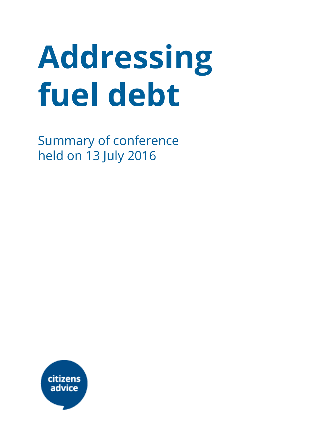# Addressing fuel debt

Summary of conference held on 13 July 2016

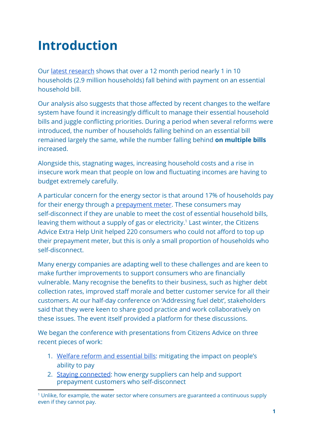# Introduction

Our latest [research](https://www.citizensadvice.org.uk/Global/CitizensAdvice/welfare%20publications/Welfare%20Reform%20and%20Essential%20Bills%20final%20report.pdf) shows that over a 12 month period nearly 1 in 10 households (2.9 million households) fall behind with payment on an essential household bill.

Our analysis also suggests that those affected by recent changes to the welfare system have found it increasingly difficult to manage their essential household bills and juggle conflicting priorities. During a period when several reforms were introduced, the number of households falling behind on an essential bill remained largely the same, while the number falling behind on multiple bills increased.

Alongside this, stagnating wages, increasing household costs and a rise in insecure work mean that people on low and fluctuating incomes are having to budget extremely carefully.

A particular concern for the energy sector is that around 17% of households pay for their energy through a [prepayment](https://www.citizensadvice.org.uk/Global/CitizensAdvice/Energy/Energy%20Consultation%20responses/Staying%20Connected.pdf) meter. These consumers may self-disconnect if they are unable to meet the cost of essential household bills, leaving them without a supply of gas or electricity.<sup>1</sup> Last winter, the Citizens Advice Extra Help Unit helped 220 consumers who could not afford to top up their prepayment meter, but this is only a small proportion of households who self-disconnect.

Many energy companies are adapting well to these challenges and are keen to make further improvements to support consumers who are financially vulnerable. Many recognise the benefits to their business, such as higher debt collection rates, improved staff morale and better customer service for all their customers. At our half-day conference on 'Addressing fuel debt', stakeholders said that they were keen to share good practice and work collaboratively on these issues. The event itself provided a platform for these discussions.

We began the conference with presentations from Citizens Advice on three recent pieces of work:

- 1. Welfare reform and [essential](https://www.citizensadvice.org.uk/about-us/policy/policy-research-topics/welfare-policy-research-surveys-and-consultation-responses/welfare-policy-research/welfare-reform-and-essential-bills-mitigating-the-impact-on-peoples-ability-to-pay/) bills: mitigating the impact on people's ability to pay
- 2. Staying [connected:](https://www.citizensadvice.org.uk/about-us/policy/policy-research-topics/energy-policy-research-and-consultation-responses/energy-policy-research/staying-connected/) how energy suppliers can help and support prepayment customers who self-disconnect

<sup>&</sup>lt;sup>1</sup> Unlike, for example, the water sector where consumers are guaranteed a continuous supply even if they cannot pay.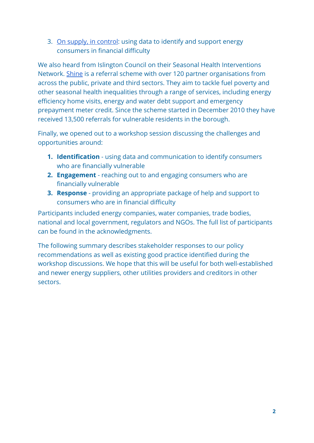3. On supply, in [control:](https://www.citizensadvice.org.uk/about-us/policy/policy-research-topics/energy-policy-research-and-consultation-responses/energy-policy-research/on-supply-in-control-using-data-to-identify-and-support-energy-consumers-in-financial-difficulty/) using data to identify and support energy consumers in financial difficulty

We also heard from Islington Council on their Seasonal Health Interventions Network. [Shine](http://www.islington.gov.uk/publicrecords/library/Environmental-protection/Information/Leaflets/2012-2013/(2012-04-25)-Shine-leaflet-2012.pdf) is a referral scheme with over 120 partner organisations from across the public, private and third sectors. They aim to tackle fuel poverty and other seasonal health inequalities through a range of services, including energy efficiency home visits, energy and water debt support and emergency prepayment meter credit. Since the scheme started in December 2010 they have received 13,500 referrals for vulnerable residents in the borough.

Finally, we opened out to a workshop session discussing the challenges and opportunities around:

- 1. Identification using data and communication to identify consumers who are financially vulnerable
- 2. **Engagement** reaching out to and engaging consumers who are financially vulnerable
- **3. Response** providing an appropriate package of help and support to consumers who are in financial difficulty

Participants included energy companies, water companies, trade bodies, national and local government, regulators and NGOs. The full list of participants can be found in the acknowledgments.

The following summary describes stakeholder responses to our policy recommendations as well as existing good practice identified during the workshop discussions. We hope that this will be useful for both well-established and newer energy suppliers, other utilities providers and creditors in other sectors.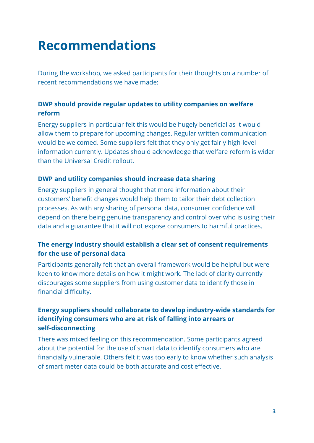## Recommendations

During the workshop, we asked participants for their thoughts on a number of recent recommendations we have made:

#### DWP should provide regular updates to utility companies on welfare reform

Energy suppliers in particular felt this would be hugely beneficial as it would allow them to prepare for upcoming changes. Regular written communication would be welcomed. Some suppliers felt that they only get fairly high-level information currently. Updates should acknowledge that welfare reform is wider than the Universal Credit rollout.

#### DWP and utility companies should increase data sharing

Energy suppliers in general thought that more information about their customers' benefit changes would help them to tailor their debt collection processes. As with any sharing of personal data, consumer confidence will depend on there being genuine transparency and control over who is using their data and a guarantee that it will not expose consumers to harmful practices.

#### The energy industry should establish a clear set of consent requirements for the use of personal data

Participants generally felt that an overall framework would be helpful but were keen to know more details on how it might work. The lack of clarity currently discourages some suppliers from using customer data to identify those in financial difficulty.

#### Energy suppliers should collaborate to develop industry-wide standards for identifying consumers who are at risk of falling into arrears or self-disconnecting

There was mixed feeling on this recommendation. Some participants agreed about the potential for the use of smart data to identify consumers who are financially vulnerable. Others felt it was too early to know whether such analysis of smart meter data could be both accurate and cost effective.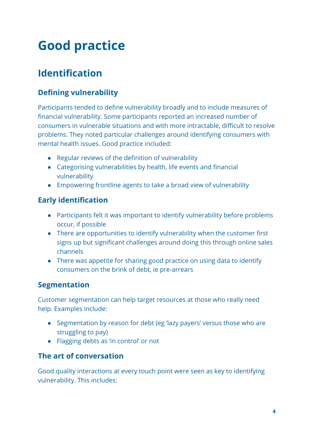# Good practice

## **Identification**

## **Defining vulnerability**

Participants tended to define vulnerability broadly and to include measures of financial vulnerability. Some participants reported an increased number of consumers in vulnerable situations and with more intractable, difficult to resolve problems. They noted particular challenges around identifying consumers with mental health issues. Good practice included:

- Regular reviews of the definition of vulnerability
- Categorising vulnerabilities by health, life events and financial vulnerability
- Empowering frontline agents to take a broad view of vulnerability

## **Early identification**

- Participants felt it was important to identify vulnerability before problems occur, if possible
- There are opportunities to identify vulnerability when the customer first signs up but significant challenges around doing this through online sales channels
- There was appetite for sharing good practice on using data to identify consumers on the brink of debt, ie pre-arrears

## Segmentation

Customer segmentation can help target resources at those who really need help. Examples include:

- Segmentation by reason for debt (eg 'lazy payers' versus those who are struggling to pay)
- Flagging debts as 'in control' or not

## The art of conversation

Good quality interactions at every touch point were seen as key to identifying vulnerability. This includes: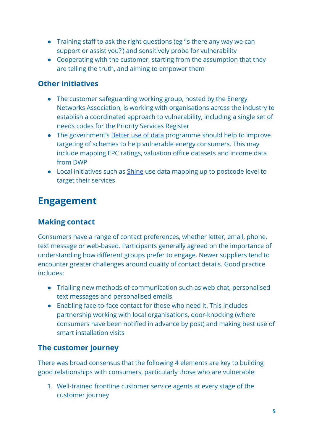- Training staff to ask the right questions (eg 'is there any way we can support or assist you?') and sensitively probe for vulnerability
- Cooperating with the customer, starting from the assumption that they are telling the truth, and aiming to empower them

## Other initiatives

- The customer safeguarding working group, hosted by the Energy Networks Association, is working with organisations across the industry to establish a coordinated approach to vulnerability, including a single set of needs codes for the Priority Services Register
- The government's [Better](https://www.gov.uk/government/consultations/better-use-of-data-in-government) use of data programme should help to improve targeting of schemes to help vulnerable energy consumers. This may include mapping EPC ratings, valuation office datasets and income data from DWP
- Local initiatives such as [Shine](http://www.islington.gov.uk/publicrecords/library/Environmental-protection/Information/Leaflets/2012-2013/(2012-04-25)-Shine-leaflet-2012.pdf) use data mapping up to postcode level to target their services

## Engagement

## Making contact

Consumers have a range of contact preferences, whether letter, email, phone, text message or web-based. Participants generally agreed on the importance of understanding how different groups prefer to engage. Newer suppliers tend to encounter greater challenges around quality of contact details. Good practice includes:

- Trialling new methods of communication such as web chat, personalised text messages and personalised emails
- Enabling face-to-face contact for those who need it. This includes partnership working with local organisations, door-knocking (where consumers have been notified in advance by post) and making best use of smart installation visits

## The customer journey

There was broad consensus that the following 4 elements are key to building good relationships with consumers, particularly those who are vulnerable:

1. Well-trained frontline customer service agents at every stage of the customer journey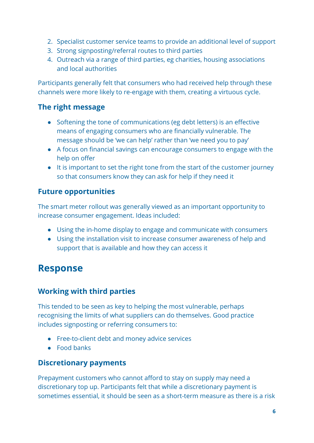- 2. Specialist customer service teams to provide an additional level of support
- 3. Strong signposting/referral routes to third parties
- 4. Outreach via a range of third parties, eg charities, housing associations and local authorities

Participants generally felt that consumers who had received help through these channels were more likely to re-engage with them, creating a virtuous cycle.

## The right message

- Softening the tone of communications (eg debt letters) is an effective means of engaging consumers who are financially vulnerable. The message should be 'we can help' rather than 'we need you to pay'
- A focus on financial savings can encourage consumers to engage with the help on offer
- It is important to set the right tone from the start of the customer journey so that consumers know they can ask for help if they need it

## Future opportunities

The smart meter rollout was generally viewed as an important opportunity to increase consumer engagement. Ideas included:

- Using the in-home display to engage and communicate with consumers
- Using the installation visit to increase consumer awareness of help and support that is available and how they can access it

## Response

## Working with third parties

This tended to be seen as key to helping the most vulnerable, perhaps recognising the limits of what suppliers can do themselves. Good practice includes signposting or referring consumers to:

- Free-to-client debt and money advice services
- Food banks

## Discretionary payments

Prepayment customers who cannot afford to stay on supply may need a discretionary top up. Participants felt that while a discretionary payment is sometimes essential, it should be seen as a short-term measure as there is a risk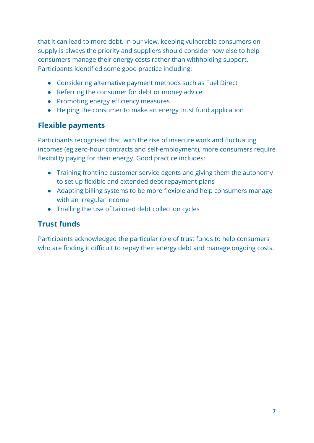that it can lead to more debt. In our view, keeping vulnerable consumers on supply is always the priority and suppliers should consider how else to help consumers manage their energy costs rather than withholding support. Participants identified some good practice including:

- Considering alternative payment methods such as Fuel Direct
- Referring the consumer for debt or money advice
- Promoting energy efficiency measures
- Helping the consumer to make an energy trust fund application

## Flexible payments

Participants recognised that, with the rise of insecure work and fluctuating incomes (eg zero-hour contracts and self-employment), more consumers require flexibility paying for their energy. Good practice includes:

- Training frontline customer service agents and giving them the autonomy to set up flexible and extended debt repayment plans
- Adapting billing systems to be more flexible and help consumers manage with an irregular income
- Trialling the use of tailored debt collection cycles

## Trust funds

Participants acknowledged the particular role of trust funds to help consumers who are finding it difficult to repay their energy debt and manage ongoing costs.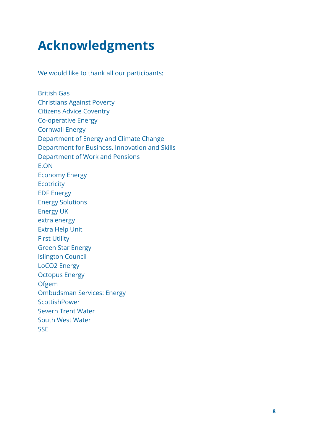# Acknowledgments

We would like to thank all our participants:

British Gas Christians Against Poverty Citizens Advice Coventry Co-operative Energy Cornwall Energy Department of Energy and Climate Change Department for Business, Innovation and Skills Department of Work and Pensions E.ON Economy Energy **Ecotricity** EDF Energy Energy Solutions Energy UK extra energy Extra Help Unit First Utility Green Star Energy Islington Council LoCO2 Energy Octopus Energy **Ofgem** Ombudsman Services: Energy **ScottishPower** Severn Trent Water South West Water **SSE**